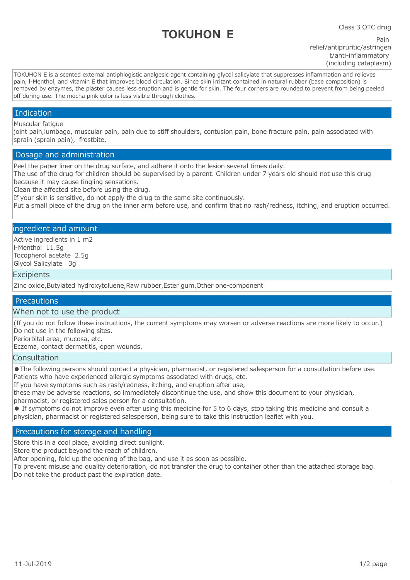# **TOKUHON E**

Class 3 OTC drug

Pain relief/antipruritic/astringen t/anti-inflammatory (including cataplasm)

TOKUHON E is a scented external antiphlogistic analgesic agent containing glycol salicylate that suppresses inflammation and relieves pain, l-Menthol, and vitamin E that improves blood circulation. Since skin irritant contained in natural rubber (base composition) is removed by enzymes, the plaster causes less eruption and is gentle for skin. The four corners are rounded to prevent from being peeled off during use. The mocha pink color is less visible through clothes.

## Indication

## Muscular fatigue

joint pain,lumbago, muscular pain, pain due to stiff shoulders, contusion pain, bone fracture pain, pain associated with sprain (sprain pain), frostbite,

## Dosage and administration

Peel the paper liner on the drug surface, and adhere it onto the lesion several times daily.

The use of the drug for children should be supervised by a parent. Children under 7 years old should not use this drug because it may cause tingling sensations.

Clean the affected site before using the drug.

If your skin is sensitive, do not apply the drug to the same site continuously.

Put a small piece of the drug on the inner arm before use, and confirm that no rash/redness, itching, and eruption occurred.

## ingredient and amount

Active ingredients in 1 m2 l-Menthol 11.5g Tocopherol acetate 2.5g Glycol Salicylate 3g

#### **Excipients**

Zinc oxide,Butylated hydroxytoluene,Raw rubber,Ester gum,Other one-component

# **Precautions**

## When not to use the product

(If you do not follow these instructions, the current symptoms may worsen or adverse reactions are more likely to occur.) Do not use in the following sites.

Periorbital area, mucosa, etc.

Eczema, contact dermatitis, open wounds.

## **Consultation**

●The following persons should contact a physician, pharmacist, or registered salesperson for a consultation before use. Patients who have experienced allergic symptoms associated with drugs, etc.

If you have symptoms such as rash/redness, itching, and eruption after use,

these may be adverse reactions, so immediately discontinue the use, and show this document to your physician,

pharmacist, or registered sales person for a consultation.

● If symptoms do not improve even after using this medicine for 5 to 6 days, stop taking this medicine and consult a physician, pharmacist or registered salesperson, being sure to take this instruction leaflet with you.

# Precautions for storage and handling

Store this in a cool place, avoiding direct sunlight.

Store the product beyond the reach of children.

After opening, fold up the opening of the bag, and use it as soon as possible.

To prevent misuse and quality deterioration, do not transfer the drug to container other than the attached storage bag. Do not take the product past the expiration date.